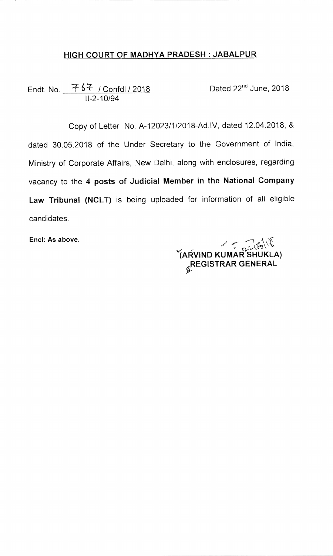## **HIGH COURT OF MADHYA PRADESH JABALPUR**

Endt. No.  $\frac{767}{1000}$  / Confdl / 2018 11-2-10/94

Copy of Letter No. A-12023/1/2018-Ad.1V, dated 12.04.2018, & dated 30.05.2018 of the Under Secretary to the Government of India, Ministry of Corporate Affairs, New Delhi, along with enclosures, regarding vacancy to the **4 posts of Judicial Member in the National Company Law Tribunal (NCLT)** is being uploaded for information of all eligible candidates.

Encl: As above.

**v(A14-VIND KUMAR SHUKLA) REGISTRAR GENERAL**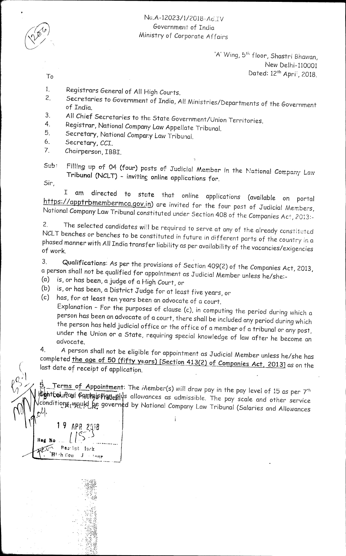## NG.A-12023/1/2018-A6.1V Government of India Ministry of Corporate Affairs

'A' Wing, 5<sup>th</sup> floor, Shastri Bhawan, New Delhi-110001 To Dated: 12th Apri:, 2018.

- 
- 1. Registrars General of All High Courts.<br>2. Secretaries to Government of Tudis 4.
- Secretaries to Government of India, All Ministries/Departments of the Government<br>of India.
- 3. All Chief Secretaries to the State Government/Union Territories.<br>4. Registrar National Company Law Ave Hele Title 1
- 4. Registrar, National Company Law Appellate Tribunal.<br>5. Secretary National Company Law Tribunal
- 5. Secretary, National Company Law Tribunal.<br>6. Secretary CCT
- 6. Secretary, *CCI.*
- 7. Chairperson, IBBI.
- Filling up of 04 (four) posts of Judicial Member in the National Company Law Tribunal (NCLT) - inviting online applications for.  $Sub:$

Sir,

I am directed to state that online applications (available on portal https://apptrbmembermca.gov.in) are invited for the four post of Judicial Members, National Company Law Tribunal constituted under Section 408 of the Companies *Act*, 2013:-

2. The selected candidates will be required to serve at any of the already constituted<br>NCLT benches an banalised of NCLT benches or benches to be constituted in future in different parts of the country in a phased manner with *All* India transfer liability as per availability of the vacancies/exigencies of work.

3. Qualifications: *As* per the provisions of Section 409(2) of the Companies Act, 2013, a person shall not be qualified for appointment as Judicial Member unless he/she:-<br>(a) is, or has been a judge of a High Count or

- is, or has been, a judge of a High Court, or
- *(b) is,* or has been, a District Judge for at least five years, or
- (c) has, for at least ten years been an advocate of a court.

Explanation - For the purposes of clause (c), in computing the period during which a person has been an advocate of a court, there shall be included any period during which the person has held judicial office or the office of a member of a tribunal or any post, under the Union or a State, requiring special knowledge of law after he become an advocate.

4. *A* person shall not be eligible for appointment as Judicial Member unless he/she has completed the age of 50 (fifty years) [Section 413(2) of Companies Act, 2013] as on the last date of receipt of application.

Terms of Appointment: The Member(s) will draw pay in the pay level of 15 as per 7th thent courlest camppisficutes allowances as admissible. The pay scale and other service conditions wauld be governed by National Company Law Tribunal (Salaries and Allowances

2018 Reg No  $\ldots$   $\downarrow$   $\downarrow$   $\cdot$   $\cdot$   $\cdot$   $\ldots$ **Reaript fack**  $\mathbf{H}$ I ch Cou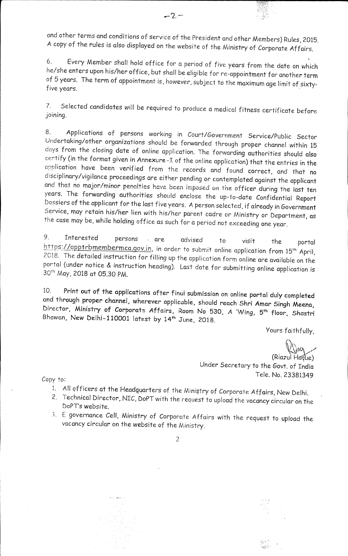and other terms and conditions of service of the President and other Members) Rules, 2015. *<sup>A</sup>*copy of the rules *is* also displayed on the website of the Ministry of Corporate Affairs.

 $-2-$ 

6. Every Member shall hold office for a period of five years from the date on which he/she enters upon his/her office, but shall be eligible for re-appointment for another term of 5 years. The term of appointment *is,* however, subject to the maximum age limit of sixtyfive years.

7. Selected candidates will be required to produce a medical fitness certificate before joining.

8. Applications of persons working in Court/Government Service/Public Sector Undertaking/other organizations should be forwarded through proper channel within 15 *days* from the closing date of online application. The forwarding authorities should also certify (in the format given in Annexure-I of the online application) that the entries in the application have been verified from the records and found correct, and that no disciplinary/vigilance proceedings are either pending or contemplated against the applicant and that no major/minor penalties have been imposed on the officer during the last ten years. The forwarding authorities should enclose the up-to-date Confidential Report Dossiers of the applicant for the last five years. *A* person selected, if already in Government Service, may retain his/her lien with his/her parent cadre or Ministry or Department, as the case may be, while holding office as such for a period not exceeding one year.

9. Interested persons • are advised to visit the portal  $\frac{n+165776pprrbmembermca.gov.in}{2018}$ , in order to submit online application from 15<sup>th</sup> April, 2018. The detailed instruction for filling up the application form online are available on the portal (under notice & instruction heading). Last date for submitting online application is 30<sup>th</sup> May, 2018 at 05.30 PM.

10. Print out of the applications after finul submission on online portal duly completed and through proper channel, wherever applicable, should reach Shri Amar Singh Meena, Director, Ministry of Corporate Affairs, Room No 530, A 'Wing, 5<sup>th</sup> floor, Shastri Bhawan, New Delhi-110001 latest by 14<sup>th</sup> June, 2018.

Yours faithfully,

 $\bigwedge$ tes

(Riazul Haque) Under Secretary to the Govt. of India Tele. No. 23381349

Copy to:

- *1. All* officers at the Headquarters of the Ministry of Corporate Affairs, New Delhi.
- 2. Technical Director, NIC, boPT with the request to upload the vacancy circular on the DoPT's website.
- 3 . E governance Cell, Ministry of Corporate Affairs with the request to upload the vacancy circular on the website of the Ministry.

2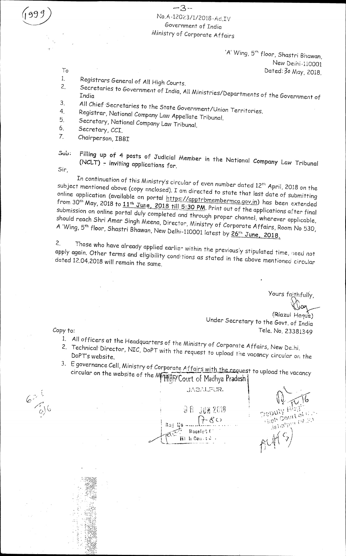## $-3-$ No.A-12023/1/2018-Ad.IV Government of India Ministry of Corporate Affairs

'A' Wing, 5<sup>th</sup> floor, Shastri Bhawan, New Delhi-110001 To Dated: 30 May, 2018.<br>1. Registrary General of All Uli La

- 1. Registrars General of All High Courts.<br>2. Secretaries to Government 6.7 High
- 2. Secretaries to Government of India, *All* Ministries/Departments of the Government of India
- *3. All* Chief 'Secretaries to the State Government/Union Territories.
- 4. Registrar, National Company Law Appellate Tribunal.<br>5. Secretary National Came
- 5. Secretary, National Company Law Tribunal.<br>6. Secretary CCT
- 6. Secretary, *CCI.*
- 7. Chairperson, IBBI
- $\sum_{i=1}^{n}$   $\sum_{i=1}^{n}$  posts of Judicial Member in the National Company Law Tribunal  $\sum_{i=1}^{n}$ (NCLT) - inviting applications for.

Sir,

In continuation of this Ministry's circular of even number dated 12<sup>th</sup> April, 2018 on the subject mentioned above (copy enclosed). I am directed to state that last date of submitting online application (available on portal https://apptrbmembermca.gov.in) has been extended from 30<sup>th</sup> May, 2018 to 11<sup>th</sup> June, 2018 till 5:30 PM. Print out of the applications after final submission on online portal duly completed and through proper channel, wherever applicable, should reach 5hri Amor \*Singh Meena, Director, Ministry of Corporate Affairs, Room No 530, *A 'Wing,*  A 'Wing, 5<sup>th</sup> floor, Shastri Bhawan, New Delhi-110001 latest by 26<sup>th</sup> June, 2018.

2. Those who have already applied earlier within the previously stipulated time, iced not  $\frac{1}{2}$  and  $\frac{1}{2}$  and  $\frac{1}{2}$  and eligibility conditions as stated in the above mentioned circular conditions as stated in the above mentioned circular conditions as stated in the above mention. dated 12.04.2018 will remain the same.

Yours faithfully,

(Riazul Haque) Under Secretary to the Govt. of India Tele. No. 23381349

Copy to:

- *1. All* officers at the Headquarters of the Ministry of Corporate Affairs, New Delhi.<br>2. Technical Director, NFC DoPT with at
- Technical. Director, NIC, DoPT with the request to upload the vacancy circular or the DoPT's website.
- $3.$  E governance Cell, Ministry of Corporate Affairs with the request to upload the vacancy of  $\alpha$ circular on the website of the MMHHATY Court of Madhya Pradesh

 $62^{1}$ 

JABALFUR. 젊음 -300 2619 Rad E Racein<sup>4</sup> (  $\overline{W}$  th,  $\overline{C}$  on  $t\in\mathbb{R}$